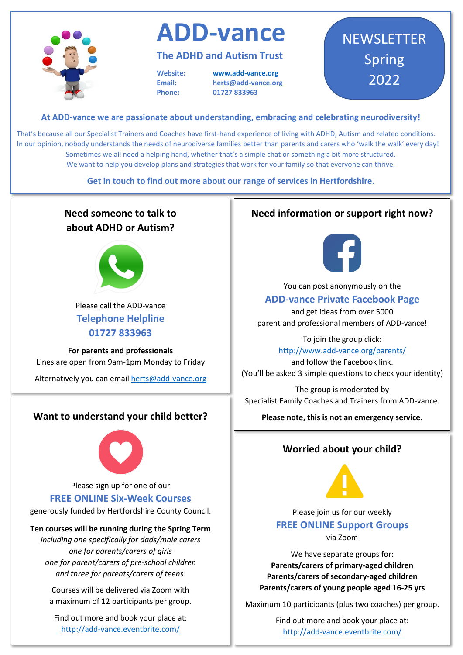

# **ADD-vance**

### **The ADHD and Autism Trust**

**Website: www.add-vance.org Email: [herts@add-vance.org](about:blank) Phone: 01727 833963**

## **NEWSLETTER** Spring 2022

#### **At ADD-vance we are passionate about understanding, embracing and celebrating neurodiversity!**

That's because all our Specialist Trainers and Coaches have first-hand experience of living with ADHD, Autism and related conditions. In our opinion, nobody understands the needs of neurodiverse families better than parents and carers who 'walk the walk' every day! Sometimes we all need a helping hand, whether that's a simple chat or something a bit more structured. We want to help you develop plans and strategies that work for your family so that everyone can thrive.

**Get in touch to find out more about our range of services in Hertfordshire.**

## **Need someone to talk to about ADHD or Autism?** Please call the ADD-vance **Telephone Helpline 01727 833963 For parents and professionals** Lines are open from 9am-1pm Monday to Friday Alternatively you can emai[l herts@add-vance.org](about:blank) **Want to understand your child better?**  Please sign up for one of our **FREE ONLINE Six-Week Courses**  generously funded by Hertfordshire County Council. **Ten courses will be running during the Spring Term** *including one specifically for dads/male carers one for parents/carers of girls one for parent/carers of pre-school children and three for parents/carers of teens.* Courses will be delivered via Zoom with

a maximum of 12 participants per group.

Find out more and book your place at: http://add-vance.eventbrite.com/

### **Need information or support right now?**



You can post anonymously on the

#### **ADD-vance Private Facebook Page**

and get ideas from over 5000 parent and professional members of ADD-vance!

> To join the group click: http://www.add-vance.org/parents/

and follow the Facebook link. (You'll be asked 3 simple questions to check your identity)

The group is moderated by Specialist Family Coaches and Trainers from ADD-vance.

**Please note, this is not an emergency service.**

#### **Worried about your child?**



Please join us for our weekly **FREE ONLINE Support Groups**  via Zoom

We have separate groups for: **Parents/carers of primary-aged children Parents/carers of secondary-aged children Parents/carers of young people aged 16-25 yrs**

Maximum 10 participants (plus two coaches) per group.

Find out more and book your place at: http://add-vance.eventbrite.com/